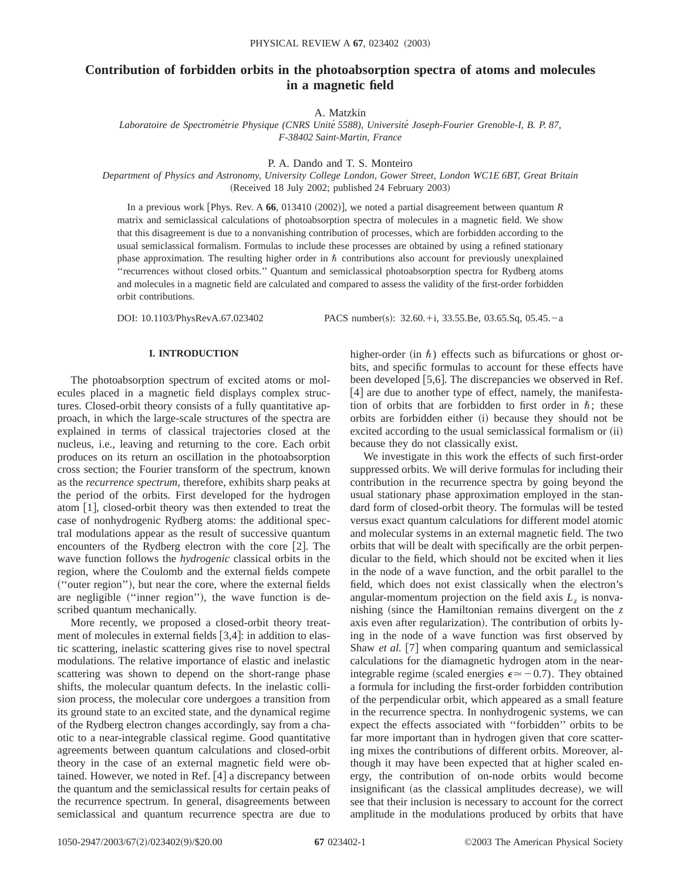# **Contribution of forbidden orbits in the photoabsorption spectra of atoms and molecules in a magnetic field**

A. Matzkin

*Laboratoire de Spectrome´trie Physique (CNRS Unite´ 5588), Universite´ Joseph-Fourier Grenoble-I, B. P. 87, F-38402 Saint-Martin, France*

P. A. Dando and T. S. Monteiro

*Department of Physics and Astronomy, University College London, Gower Street, London WC1E 6BT, Great Britain*  $(Received 18 July 2002; published 24 February 2003)$ 

In a previous work [Phys. Rev. A  $66$ , 013410 (2002)], we noted a partial disagreement between quantum *R* matrix and semiclassical calculations of photoabsorption spectra of molecules in a magnetic field. We show that this disagreement is due to a nonvanishing contribution of processes, which are forbidden according to the usual semiclassical formalism. Formulas to include these processes are obtained by using a refined stationary phase approximation. The resulting higher order in  $\hbar$  contributions also account for previously unexplained ''recurrences without closed orbits.'' Quantum and semiclassical photoabsorption spectra for Rydberg atoms and molecules in a magnetic field are calculated and compared to assess the validity of the first-order forbidden orbit contributions.

DOI: 10.1103/PhysRevA.67.023402 PACS number(s): 32.60.+i, 33.55.Be, 03.65.Sq, 05.45.-a

### **I. INTRODUCTION**

The photoabsorption spectrum of excited atoms or molecules placed in a magnetic field displays complex structures. Closed-orbit theory consists of a fully quantitative approach, in which the large-scale structures of the spectra are explained in terms of classical trajectories closed at the nucleus, i.e., leaving and returning to the core. Each orbit produces on its return an oscillation in the photoabsorption cross section; the Fourier transform of the spectrum, known as the *recurrence spectrum*, therefore, exhibits sharp peaks at the period of the orbits. First developed for the hydrogen atom  $[1]$ , closed-orbit theory was then extended to treat the case of nonhydrogenic Rydberg atoms: the additional spectral modulations appear as the result of successive quantum encounters of the Rydberg electron with the core  $[2]$ . The wave function follows the *hydrogenic* classical orbits in the region, where the Coulomb and the external fields compete ~''outer region''!, but near the core, where the external fields are negligible ("inner region"), the wave function is described quantum mechanically.

More recently, we proposed a closed-orbit theory treatment of molecules in external fields  $[3,4]$ : in addition to elastic scattering, inelastic scattering gives rise to novel spectral modulations. The relative importance of elastic and inelastic scattering was shown to depend on the short-range phase shifts, the molecular quantum defects. In the inelastic collision process, the molecular core undergoes a transition from its ground state to an excited state, and the dynamical regime of the Rydberg electron changes accordingly, say from a chaotic to a near-integrable classical regime. Good quantitative agreements between quantum calculations and closed-orbit theory in the case of an external magnetic field were obtained. However, we noted in Ref.  $[4]$  a discrepancy between the quantum and the semiclassical results for certain peaks of the recurrence spectrum. In general, disagreements between semiclassical and quantum recurrence spectra are due to

higher-order (in  $\hbar$ ) effects such as bifurcations or ghost orbits, and specific formulas to account for these effects have been developed [5,6]. The discrepancies we observed in Ref.  $[4]$  are due to another type of effect, namely, the manifestation of orbits that are forbidden to first order in  $\hbar$ ; these orbits are forbidden either (i) because they should not be excited according to the usual semiclassical formalism or  $(ii)$ because they do not classically exist.

We investigate in this work the effects of such first-order suppressed orbits. We will derive formulas for including their contribution in the recurrence spectra by going beyond the usual stationary phase approximation employed in the standard form of closed-orbit theory. The formulas will be tested versus exact quantum calculations for different model atomic and molecular systems in an external magnetic field. The two orbits that will be dealt with specifically are the orbit perpendicular to the field, which should not be excited when it lies in the node of a wave function, and the orbit parallel to the field, which does not exist classically when the electron's angular-momentum projection on the field axis  $L<sub>z</sub>$  is nonvanishing (since the Hamiltonian remains divergent on the  $z$ axis even after regularization). The contribution of orbits lying in the node of a wave function was first observed by Shaw *et al.* [7] when comparing quantum and semiclassical calculations for the diamagnetic hydrogen atom in the nearintegrable regime (scaled energies  $\epsilon \approx -0.7$ ). They obtained a formula for including the first-order forbidden contribution of the perpendicular orbit, which appeared as a small feature in the recurrence spectra. In nonhydrogenic systems, we can expect the effects associated with ''forbidden'' orbits to be far more important than in hydrogen given that core scattering mixes the contributions of different orbits. Moreover, although it may have been expected that at higher scaled energy, the contribution of on-node orbits would become insignificant (as the classical amplitudes decrease), we will see that their inclusion is necessary to account for the correct amplitude in the modulations produced by orbits that have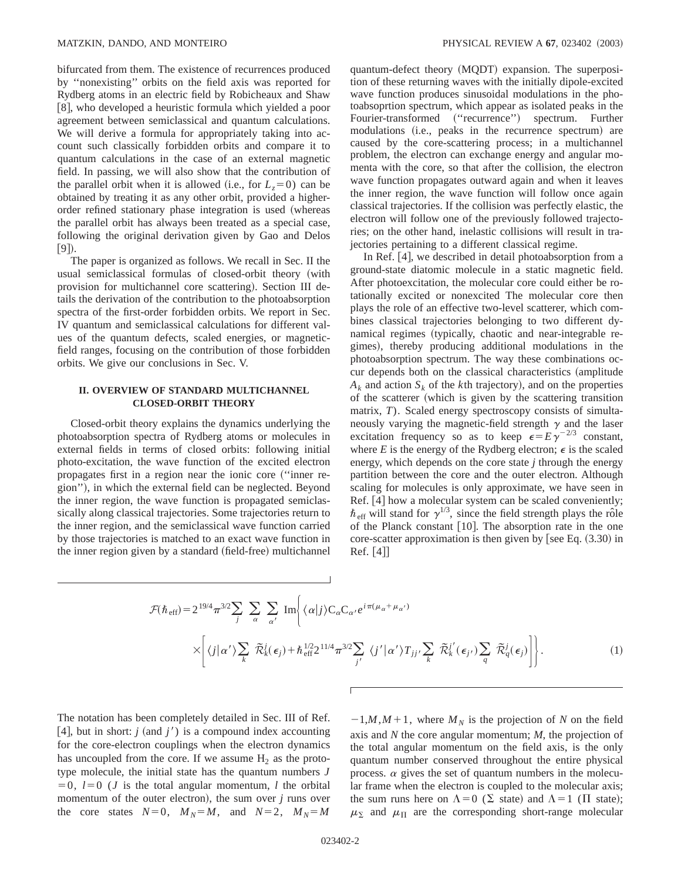bifurcated from them. The existence of recurrences produced by ''nonexisting'' orbits on the field axis was reported for Rydberg atoms in an electric field by Robicheaux and Shaw [8], who developed a heuristic formula which yielded a poor agreement between semiclassical and quantum calculations. We will derive a formula for appropriately taking into account such classically forbidden orbits and compare it to quantum calculations in the case of an external magnetic field. In passing, we will also show that the contribution of the parallel orbit when it is allowed (i.e., for  $L_z=0$ ) can be obtained by treating it as any other orbit, provided a higherorder refined stationary phase integration is used (whereas the parallel orbit has always been treated as a special case, following the original derivation given by Gao and Delos  $[9]$ .

The paper is organized as follows. We recall in Sec. II the usual semiclassical formulas of closed-orbit theory (with provision for multichannel core scattering). Section III details the derivation of the contribution to the photoabsorption spectra of the first-order forbidden orbits. We report in Sec. IV quantum and semiclassical calculations for different values of the quantum defects, scaled energies, or magneticfield ranges, focusing on the contribution of those forbidden orbits. We give our conclusions in Sec. V.

# **II. OVERVIEW OF STANDARD MULTICHANNEL CLOSED-ORBIT THEORY**

Closed-orbit theory explains the dynamics underlying the photoabsorption spectra of Rydberg atoms or molecules in external fields in terms of closed orbits: following initial photo-excitation, the wave function of the excited electron propagates first in a region near the ionic core ("inner region"), in which the external field can be neglected. Beyond the inner region, the wave function is propagated semiclassically along classical trajectories. Some trajectories return to the inner region, and the semiclassical wave function carried by those trajectories is matched to an exact wave function in the inner region given by a standard (field-free) multichannel quantum-defect theory (MQDT) expansion. The superposition of these returning waves with the initially dipole-excited wave function produces sinusoidal modulations in the photoabsoprtion spectrum, which appear as isolated peaks in the Fourier-transformed ("recurrence") spectrum. Further modulations (i.e., peaks in the recurrence spectrum) are caused by the core-scattering process; in a multichannel problem, the electron can exchange energy and angular momenta with the core, so that after the collision, the electron wave function propagates outward again and when it leaves the inner region, the wave function will follow once again classical trajectories. If the collision was perfectly elastic, the electron will follow one of the previously followed trajectories; on the other hand, inelastic collisions will result in trajectories pertaining to a different classical regime.

In Ref.  $[4]$ , we described in detail photoabsorption from a ground-state diatomic molecule in a static magnetic field. After photoexcitation, the molecular core could either be rotationally excited or nonexcited The molecular core then plays the role of an effective two-level scatterer, which combines classical trajectories belonging to two different dynamical regimes (typically, chaotic and near-integrable regimes), thereby producing additional modulations in the photoabsorption spectrum. The way these combinations occur depends both on the classical characteristics (amplitude  $A_k$  and action  $S_k$  of the *k*th trajectory), and on the properties of the scatterer (which is given by the scattering transition matrix, *T*). Scaled energy spectroscopy consists of simultaneously varying the magnetic-field strength  $\gamma$  and the laser excitation frequency so as to keep  $\epsilon = E\gamma^{-2/3}$  constant, where  $E$  is the energy of the Rydberg electron;  $\epsilon$  is the scaled energy, which depends on the core state *j* through the energy partition between the core and the outer electron. Although scaling for molecules is only approximate, we have seen in Ref. [4] how a molecular system can be scaled conveniently;  $\hbar$ <sub>eff</sub> will stand for  $\gamma^{1/3}$ , since the field strength plays the rôle of the Planck constant  $[10]$ . The absorption rate in the one core-scatter approximation is then given by [see Eq.  $(3.30)$  in  $\text{Ref.} |4|$ 

$$
\mathcal{F}(\hbar_{\text{eff}}) = 2^{19/4} \pi^{3/2} \sum_{j} \sum_{\alpha} \sum_{\alpha'} \text{Im} \left\{ \langle \alpha | j \rangle C_{\alpha} C_{\alpha'} e^{i \pi (\mu_{\alpha} + \mu_{\alpha'})} \right.\times \left[ \langle j | \alpha' \rangle \sum_{k} \tilde{\mathcal{R}}_{k}^{j}(\epsilon_{j}) + \hbar_{\text{eff}}^{1/2} 2^{11/4} \pi^{3/2} \sum_{j'} \langle j' | \alpha' \rangle T_{jj'} \sum_{k} \tilde{\mathcal{R}}_{k}^{j'}(\epsilon_{j'}) \sum_{q} \tilde{\mathcal{R}}_{q}^{j}(\epsilon_{j}) \right].
$$
\n(1)

The notation has been completely detailed in Sec. III of Ref. [4], but in short: *j* (and *j'*) is a compound index accounting for the core-electron couplings when the electron dynamics has uncoupled from the core. If we assume  $H_2$  as the prototype molecule, the initial state has the quantum numbers *J*  $=0$ ,  $l=0$  (*J* is the total angular momentum, *l* the orbital momentum of the outer electron), the sum over  $j$  runs over the core states  $N=0$ ,  $M_N=M$ , and  $N=2$ ,  $M_N=M$ 

 $-1,M,M+1$ , where  $M_N$  is the projection of *N* on the field axis and *N* the core angular momentum; *M*, the projection of the total angular momentum on the field axis, is the only quantum number conserved throughout the entire physical process.  $\alpha$  gives the set of quantum numbers in the molecular frame when the electron is coupled to the molecular axis; the sum runs here on  $\Lambda=0$  ( $\Sigma$  state) and  $\Lambda=1$  ( $\Pi$  state);  $\mu_{\Sigma}$  and  $\mu_{\Pi}$  are the corresponding short-range molecular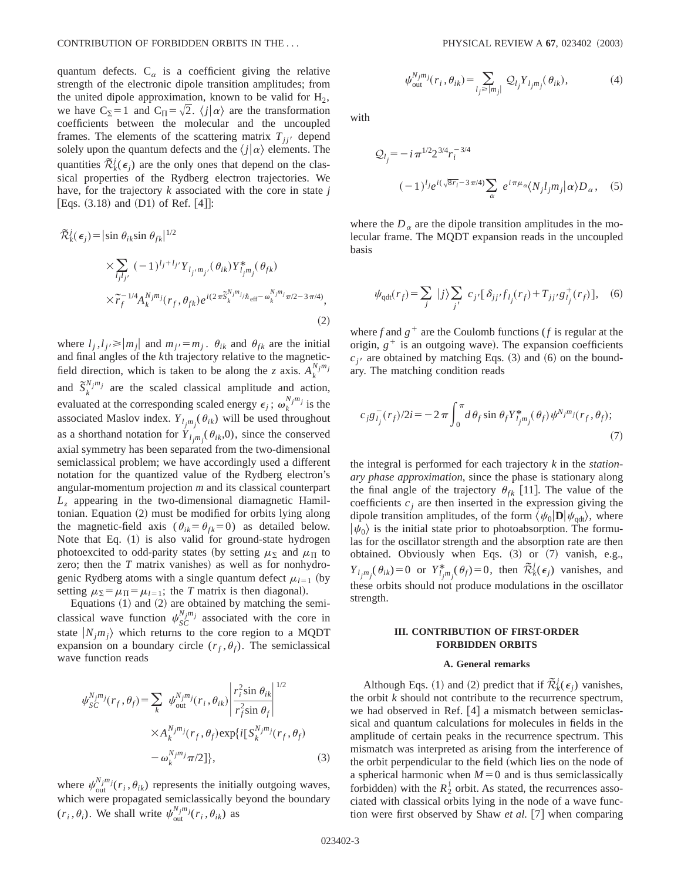quantum defects.  $C_{\alpha}$  is a coefficient giving the relative strength of the electronic dipole transition amplitudes; from the united dipole approximation, known to be valid for  $H_2$ , we have C<sub>2</sub>=1 and C<sub>II</sub>= $\sqrt{2}$ .  $\langle j | \alpha \rangle$  are the transformation coefficients between the molecular and the uncoupled frames. The elements of the scattering matrix  $T_{ji}$  depend solely upon the quantum defects and the  $\langle j | \alpha \rangle$  elements. The quantities  $\tilde{\mathcal{R}}_k^j(\epsilon_j)$  are the only ones that depend on the classical properties of the Rydberg electron trajectories. We have, for the trajectory *k* associated with the core in state *j* [Eqs.  $(3.18)$  and  $(D1)$  of Ref. [4]]:

$$
\mathcal{R}_{k}^{j}(\epsilon_{j}) = |\sin \theta_{ik} \sin \theta_{fk}|^{1/2} \times \sum_{l_{j}l_{j'}} (-1)^{l_{j}+l_{j'}} Y_{l_{j'}m_{j'}}(\theta_{ik}) Y_{l_{j}m_{j}}^{*}(\theta_{fk}) \times \tilde{r}_{f}^{-1/4} A_{k}^{N_{j}m_{j}}(r_{f}, \theta_{fk}) e^{i(2\pi \tilde{S}_{k}^{N_{j}m_{j}}/\hbar_{\text{eff}} - \omega_{k}^{N_{j}m_{j}}\pi/2 - 3\pi/4)},
$$
\n(2)

where  $l_j, l_{j'} \ge |m_j|$  and  $m_{j'} = m_j$ .  $\theta_{ik}$  and  $\theta_{fk}$  are the initial and final angles of the *k*th trajectory relative to the magneticfield direction, which is taken to be along the *z* axis.  $A_k^{N_j m_j}$ and  $\tilde{S}_k^{N_j m_j}$  are the scaled classical amplitude and action, evaluated at the corresponding scaled energy  $\epsilon_j$ ;  $\omega_k^{N_j m_j}$  is the associated Maslov index.  $Y_{l_j m_j}$  ( $\theta_{ik}$ ) will be used throughout as a shorthand notation for  $Y_{l_j m_j}$  ( $\theta_{ik}$ ,0), since the conserved axial symmetry has been separated from the two-dimensional semiclassical problem; we have accordingly used a different notation for the quantized value of the Rydberg electron's angular-momentum projection *m* and its classical counterpart *Lz* appearing in the two-dimensional diamagnetic Hamiltonian. Equation  $(2)$  must be modified for orbits lying along the magnetic-field axis  $(\theta_{ik} = \theta_{fk} = 0)$  as detailed below. Note that Eq.  $(1)$  is also valid for ground-state hydrogen photoexcited to odd-parity states (by setting  $\mu_{\Sigma}$  and  $\mu_{\Pi}$  to zero; then the  $T$  matrix vanishes) as well as for nonhydrogenic Rydberg atoms with a single quantum defect  $\mu_{l=1}$  (by setting  $\mu_{\Sigma} = \mu_{\Pi} = \mu_{l=1}$ ; the *T* matrix is then diagonal).

Equations  $(1)$  and  $(2)$  are obtained by matching the semiclassical wave function  $\psi_{SC}^{N_j m_j}$  associated with the core in state  $|N_j m_j\rangle$  which returns to the core region to a MQDT expansion on a boundary circle  $(r_f, \theta_f)$ . The semiclassical wave function reads

$$
\psi_{SC}^{N_j m_j}(r_f, \theta_f) = \sum_{k} \psi_{out}^{N_j m_j}(r_i, \theta_{ik}) \left| \frac{r_i^2 \sin \theta_{ik}}{r_f^2 \sin \theta_f} \right|^{1/2}
$$

$$
\times A_k^{N_j m_j}(r_f, \theta_f) \exp\{i[S_k^{N_j m_j}(r_f, \theta_f)]
$$

$$
- \omega_k^{N_j m_j} \pi/2]\}, \tag{3}
$$

where  $\psi_{\text{out}}^{N_j m_j}(\mathbf{r}_i, \theta_{ik})$  represents the initially outgoing waves, which were propagated semiclassically beyond the boundary  $(r_i, \theta_i)$ . We shall write  $\psi_{\text{out}}^{N_j m_j}(r_i, \theta_{ik})$  as

$$
\psi_{\text{out}}^{N_j m_j}(r_i, \theta_{ik}) = \sum_{l_j \ge |m_j|} \mathcal{Q}_{l_j} Y_{l_j m_j}(\theta_{ik}),\tag{4}
$$

with

$$
Q_{lj} = -i \pi^{1/2} 2^{3/4} r_i^{-3/4}
$$

$$
(-1)^{lj} e^{i(\sqrt{8r_i}-3\pi/4)} \sum_{\alpha} e^{i\pi \mu_{\alpha}} \langle N_j l_j m_j | \alpha \rangle D_{\alpha}, \quad (5)
$$

where the  $D_{\alpha}$  are the dipole transition amplitudes in the molecular frame. The MQDT expansion reads in the uncoupled basis

$$
\psi_{\text{qdt}}(r_f) = \sum_j |j\rangle \sum_{j'} c_{j'} [\delta_{jj'} f_{l_j}(r_f) + T_{jj'} g^+_{l_j}(r_f)], \quad (6)
$$

where *f* and  $g^+$  are the Coulomb functions (*f* is regular at the origin,  $g^+$  is an outgoing wave). The expansion coefficients  $c_{i}$  are obtained by matching Eqs. (3) and (6) on the boundary. The matching condition reads

$$
c_{j}g_{l_{j}}^{-}(r_{f})/2i = -2\pi \int_{0}^{\pi} d\theta_{f} \sin \theta_{f} Y_{l_{j}m_{j}}^{*}(\theta_{f}) \psi^{N_{j}m_{j}}(r_{f}, \theta_{f});
$$
\n(7)

the integral is performed for each trajectory *k* in the *stationary phase approximation*, since the phase is stationary along the final angle of the trajectory  $\theta_{fk}$  [11]. The value of the coefficients  $c_i$  are then inserted in the expression giving the dipole transition amplitudes, of the form  $\langle \psi_0|\mathbf{D}|\psi_{\text{qdt}}\rangle$ , where  $|\psi_0\rangle$  is the initial state prior to photoabsorption. The formulas for the oscillator strength and the absorption rate are then obtained. Obviously when Eqs.  $(3)$  or  $(7)$  vanish, e.g., *Y*<sub>lj</sub>m<sub>j</sub>( $\theta_{ik}$ )=0 or *Y*<sup>\*</sup><sub>*ijm<sub>j</sub>*</sub>( $\theta_{f}$ )=0, then  $\tilde{\mathcal{R}}^{j}_{k}(\epsilon_{j})$  vanishes, and these orbits should not produce modulations in the oscillator strength.

# **III. CONTRIBUTION OF FIRST-ORDER FORBIDDEN ORBITS**

#### **A. General remarks**

Although Eqs. (1) and (2) predict that if  $\tilde{\mathcal{R}}_k^j(\epsilon_j)$  vanishes, the orbit *k* should not contribute to the recurrence spectrum, we had observed in Ref.  $[4]$  a mismatch between semiclassical and quantum calculations for molecules in fields in the amplitude of certain peaks in the recurrence spectrum. This mismatch was interpreted as arising from the interference of the orbit perpendicular to the field (which lies on the node of a spherical harmonic when  $M=0$  and is thus semiclassically forbidden) with the  $R_2^1$  orbit. As stated, the recurrences associated with classical orbits lying in the node of a wave function were first observed by Shaw *et al.* [7] when comparing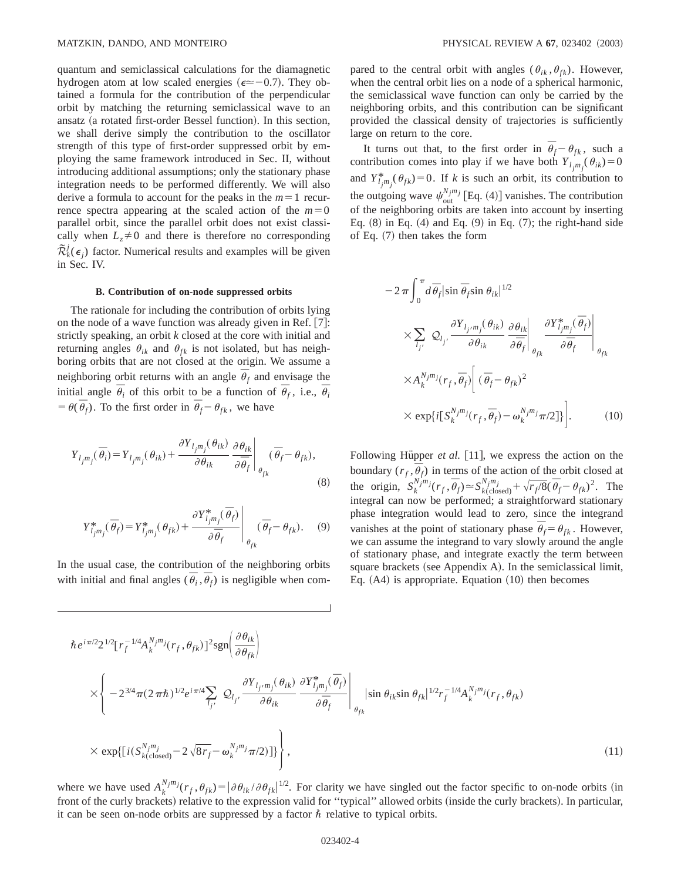quantum and semiclassical calculations for the diamagnetic hydrogen atom at low scaled energies ( $\epsilon \approx -0.7$ ). They obtained a formula for the contribution of the perpendicular orbit by matching the returning semiclassical wave to an ansatz (a rotated first-order Bessel function). In this section, we shall derive simply the contribution to the oscillator strength of this type of first-order suppressed orbit by employing the same framework introduced in Sec. II, without introducing additional assumptions; only the stationary phase integration needs to be performed differently. We will also derive a formula to account for the peaks in the  $m=1$  recurrence spectra appearing at the scaled action of the  $m=0$ parallel orbit, since the parallel orbit does not exist classically when  $L_z \neq 0$  and there is therefore no corresponding  $\tilde{\mathcal{R}}_k^j(\epsilon_j)$  factor. Numerical results and examples will be given in Sec. IV.

#### **B. Contribution of on-node suppressed orbits**

The rationale for including the contribution of orbits lying on the node of a wave function was already given in Ref.  $[7]$ : strictly speaking, an orbit *k* closed at the core with initial and returning angles  $\theta_{ik}$  and  $\theta_{fk}$  is not isolated, but has neighboring orbits that are not closed at the origin. We assume a neighboring orbit returns with an angle  $\bar{\theta}_f$  and envisage the initial angle  $\bar{\theta}_i$  of this orbit to be a function of  $\bar{\theta}_f$ , i.e.,  $\bar{\theta}_i$  $= \theta(\bar{\theta}_f)$ . To the first order in  $\bar{\theta}_f - \theta_{fk}$ , we have

$$
Y_{l_j m_j}(\overline{\theta}_i) = Y_{l_j m_j}(\theta_{ik}) + \frac{\partial Y_{l_j m_j}(\theta_{ik})}{\partial \theta_{ik}} \frac{\partial \theta_{ik}}{\partial \overline{\theta}_f} \bigg|_{\theta_{fk}} (\overline{\theta}_f - \theta_{fk}),
$$
\n(8)

$$
Y_{l_jm_j}^*(\overline{\theta}_f) = Y_{l_jm_j}^*(\theta_{fk}) + \frac{\partial Y_{l_jm_j}^*(\overline{\theta}_f)}{\partial \overline{\theta}_f}\Bigg|_{\theta_{fk}} (\overline{\theta}_f - \theta_{fk}). \quad (9)
$$

In the usual case, the contribution of the neighboring orbits with initial and final angles ( $\overline{\theta}_i$ ,  $\overline{\theta}_f$ ) is negligible when compared to the central orbit with angles ( $\theta_{ik}$ ,  $\theta_{fk}$ ). However, when the central orbit lies on a node of a spherical harmonic, the semiclassical wave function can only be carried by the neighboring orbits, and this contribution can be significant provided the classical density of trajectories is sufficiently large on return to the core.

It turns out that, to the first order in  $\bar{\theta}_f - \theta_{fk}$ , such a contribution comes into play if we have both  $Y_{l_j m_j}$   $(\theta_{ik}) = 0$ and  $Y_{i_{j}m_{j}}^{*}(\theta_{fk})=0$ . If *k* is such an orbit, its contribution to the outgoing wave  $\psi_{\text{out}}^{N_j m_j}$  [Eq. (4)] vanishes. The contribution of the neighboring orbits are taken into account by inserting Eq.  $(8)$  in Eq.  $(4)$  and Eq.  $(9)$  in Eq.  $(7)$ ; the right-hand side of Eq.  $(7)$  then takes the form

$$
-2\pi \int_0^{\pi} d\bar{\theta}_f |\sin \bar{\theta}_f \sin \theta_{ik}|^{1/2}
$$
  
\n
$$
\times \sum_{l_{j'}} Q_{l_{j'}} \frac{\partial Y_{l_{j'}m_j}(\theta_{ik})}{\partial \theta_{ik}} \frac{\partial \theta_{ik}}{\partial \bar{\theta}_f} \left| \frac{\partial Y_{l_{j}m_j}^*(\bar{\theta}_f)}{\partial \bar{\theta}_f} \right|_{\theta_{fk}}
$$
  
\n
$$
\times A_k^{N_jm_j} (r_f, \bar{\theta}_f) \left[ (\bar{\theta}_f - \theta_{fk})^2 \right]
$$
  
\n
$$
\times \exp\{i[S_k^{N_jm_j}(r_f, \bar{\theta}_f) - \omega_k^{N_jm_j}\pi/2]\}.
$$
 (10)

Following Hüpper *et al.* [11], we express the action on the boundary  $(r_f, \bar{\theta}_f)$  in terms of the action of the orbit closed at the origin,  $S_k^{N_j m_j} (r_f, \bar{\theta}_f) \approx S_{k(\text{closed})}^{N_j m_j} + \sqrt{r_f/8} (\bar{\theta}_f - \theta_{fk})^2$ . The integral can now be performed; a straightforward stationary phase integration would lead to zero, since the integrand vanishes at the point of stationary phase  $\overline{\theta}_f = \theta_{fk}$ . However, we can assume the integrand to vary slowly around the angle of stationary phase, and integrate exactly the term between square brackets (see Appendix A). In the semiclassical limit, Eq.  $(A4)$  is appropriate. Equation  $(10)$  then becomes

$$
\hbar e^{i\pi/2} 2^{1/2} [r_f^{-1/4} A_k^{N_j m_j} (r_f, \theta_{fk})]^2 \text{sgn}\left(\frac{\partial \theta_{ik}}{\partial \theta_{fk}}\right)
$$
\n
$$
\times \left\{ -2^{3/4} \pi (2\pi \hbar)^{1/2} e^{i\pi/4} \sum_{l_{j'}} \mathcal{Q}_{l_{j'}} \frac{\partial Y_{l_j m_j}(\theta_{ik})}{\partial \theta_{ik}} \frac{\partial Y_{l_j m_j}^*(\overline{\theta}_{f})}{\partial \overline{\theta}_{f}} \right\}_{\theta_{fk}} |\sin \theta_{ik} \sin \theta_{fk}|^{1/2} r_f^{-1/4} A_k^{N_j m_j} (r_f, \theta_{fk})
$$
\n
$$
\times \exp\{ [i(S_{k(\text{closed})}^{N_j m_j} - 2\sqrt{8r_f} - \omega_k^{N_j m_j} \pi/2)] \} \right\},
$$
\n(11)

where we have used  $A_k^{N_j m_j}(r_f, \theta_{fk}) = |\partial \theta_{ik}/\partial \theta_{fk}|^{1/2}$ . For clarity we have singled out the factor specific to on-node orbits (in front of the curly brackets) relative to the expression valid for "typical" allowed orbits (inside the curly brackets). In particular, it can be seen on-node orbits are suppressed by a factor  $\hbar$  relative to typical orbits.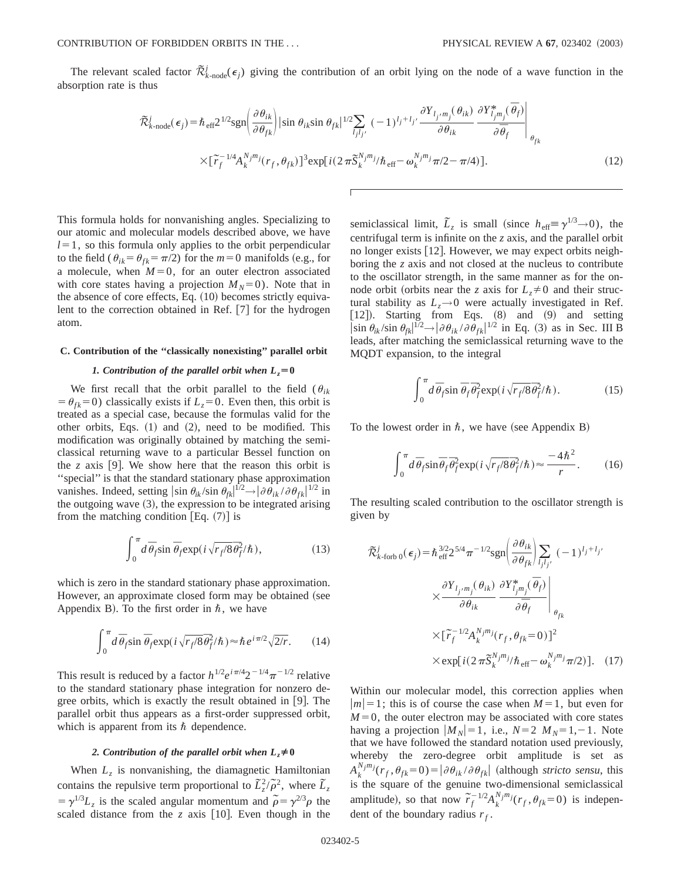The relevant scaled factor  $\tilde{\mathcal{R}}_{k\text{-node}}^j(\epsilon_j)$  giving the contribution of an orbit lying on the node of a wave function in the absorption rate is thus

$$
\tilde{\mathcal{R}}_{k\text{-node}}^{j}(\epsilon_{j}) = \hbar_{\text{eff}} 2^{1/2} \text{sgn} \left( \frac{\partial \theta_{ik}}{\partial \theta_{fk}} \right) |\sin \theta_{ik} \sin \theta_{fk}|^{1/2} \sum_{l_{j}l_{j'}} (-1)^{l_{j}+l_{j'}} \frac{\partial Y_{l_{j'}m_{j}}(\theta_{ik})}{\partial \theta_{ik}} \frac{\partial Y_{l_{j}m_{j}}^{*}(\overline{\theta}_{f})}{\partial \overline{\theta}_{f}} \right|_{\theta_{fk}}
$$
\n
$$
\times [\widetilde{r}_{f}^{-1/4} A_{k}^{N_{j}m_{j}}(r_{f}, \theta_{fk})]^{3} \exp[i(2\pi \widetilde{S}_{k}^{N_{j}m_{j}}/\hbar_{\text{eff}} - \omega_{k}^{N_{j}m_{j}} \pi/2 - \pi/4)]. \tag{12}
$$

This formula holds for nonvanishing angles. Specializing to our atomic and molecular models described above, we have  $l=1$ , so this formula only applies to the orbit perpendicular to the field ( $\theta_{ik} = \theta_{fk} = \pi/2$ ) for the  $m=0$  manifolds (e.g., for a molecule, when  $M=0$ , for an outer electron associated with core states having a projection  $M_N=0$ ). Note that in the absence of core effects, Eq.  $(10)$  becomes strictly equivalent to the correction obtained in Ref.  $[7]$  for the hydrogen atom.

# **C. Contribution of the ''classically nonexisting'' parallel orbit**

### *1. Contribution of the parallel orbit when*  $L_z = 0$

We first recall that the orbit parallel to the field  $(\theta_{ik})$  $= \theta_{fk} = 0$ ) classically exists if  $L_z = 0$ . Even then, this orbit is treated as a special case, because the formulas valid for the other orbits, Eqs.  $(1)$  and  $(2)$ , need to be modified. This modification was originally obtained by matching the semiclassical returning wave to a particular Bessel function on the *z* axis [9]. We show here that the reason this orbit is ''special'' is that the standard stationary phase approximation vanishes. Indeed, setting  $|\sin \theta_{ik}/\sin \theta_{fk}|^{1/2} \rightarrow |\partial \theta_{ik}/\partial \theta_{fk}|^{1/2}$  in the outgoing wave  $(3)$ , the expression to be integrated arising from the matching condition  $|Eq. (7)|$  is

$$
\int_0^{\pi} d\,\overline{\theta}_f \sin \overline{\theta}_f \exp\left(i\sqrt{r_f/8}\,\overline{\theta}_f^2/\hbar\right),\tag{13}
$$

which is zero in the standard stationary phase approximation. However, an approximate closed form may be obtained (see Appendix B). To the first order in  $\hbar$ , we have

$$
\int_0^{\pi} d\,\overline{\theta}_f \sin \overline{\theta}_f \exp\left(i\sqrt{r_f/8}\,\overline{\theta}_f^2/\hbar\right) \approx \hbar \, e^{i\,\pi/2} \sqrt{2/r}.\tag{14}
$$

This result is reduced by a factor  $h^{1/2}e^{i\pi/4}2^{-1/4}\pi^{-1/2}$  relative to the standard stationary phase integration for nonzero degree orbits, which is exactly the result obtained in  $\vert 9 \vert$ . The parallel orbit thus appears as a first-order suppressed orbit, which is apparent from its  $\hbar$  dependence.

# 2. Contribution of the parallel orbit when  $L_z \neq 0$

When  $L<sub>z</sub>$  is nonvanishing, the diamagnetic Hamiltonian contains the repulsive term proportional to  $\tilde{L}_z^2/\tilde{\rho}^2$ , where  $\tilde{L}_z$  $= \gamma^{1/3} L_z$  is the scaled angular momentum and  $\tilde{\rho} = \gamma^{2/3} \rho$  the scaled distance from the  $z$  axis [10]. Even though in the

semiclassical limit,  $\tilde{L}_z$  is small (since  $h_{\text{eff}} \equiv \gamma^{1/3} \rightarrow 0$ ), the centrifugal term is infinite on the *z* axis, and the parallel orbit no longer exists [12]. However, we may expect orbits neighboring the *z* axis and not closed at the nucleus to contribute to the oscillator strength, in the same manner as for the onnode orbit (orbits near the *z* axis for  $L_z \neq 0$  and their structural stability as  $L_z \rightarrow 0$  were actually investigated in Ref.  $[12]$ ). Starting from Eqs.  $(8)$  and  $(9)$  and setting  $\left|\sin \theta_{ik}/\sin \theta_{fk}\right|^{1/2} \rightarrow \left|\partial \theta_{ik}/\partial \theta_{fk}\right|^{1/2}$  in Eq. (3) as in Sec. III B leads, after matching the semiclassical returning wave to the MQDT expansion, to the integral

$$
\int_0^{\pi} d\,\overline{\theta}_f \sin \overline{\theta}_f \overline{\theta}_f^2 \exp(i\sqrt{r_f/8} \overline{\theta}_f^2/\hbar). \tag{15}
$$

To the lowest order in  $\hbar$ , we have (see Appendix B)

$$
\int_0^{\pi} d\bar{\theta}_f \sin \bar{\theta}_f \bar{\theta}_f^2 \exp(i\sqrt{r_f/8} \bar{\theta}_f^2/\hbar) \approx \frac{-4\hbar^2}{r}.
$$
 (16)

The resulting scaled contribution to the oscillator strength is given by

$$
\tilde{\mathcal{R}}_{k\text{-forb 0}}^{j}(\epsilon_{j}) = \hbar_{\text{eff}}^{3/2} 2^{5/4} \pi^{-1/2} \text{sgn} \left( \frac{\partial \theta_{ik}}{\partial \theta_{fk}} \right) \sum_{l_{j}l_{j'}} (-1)^{l_{j}+l_{j'}}
$$
\n
$$
\times \frac{\partial Y_{l_{j},m_{j}}(\theta_{ik})}{\partial \theta_{ik}} \frac{\partial Y_{l_{j}m_{j}}^{*}(\overline{\theta}_{f})}{\partial \overline{\theta}_{f}} \Bigg|_{\theta_{fk}}
$$
\n
$$
\times \left[ \widetilde{r}_{f}^{-1/2} A_{k}^{N_{j}m_{j}}(r_{f}, \theta_{fk} = 0) \right]^{2}
$$
\n
$$
\times \text{exp}[i(2 \pi \widetilde{S}_{k}^{N_{j}m_{j}}/\hbar_{\text{eff}} - \omega_{k}^{N_{j}m_{j}} \pi/2)]. \quad (17)
$$

Within our molecular model, this correction applies when  $|m|=1$ ; this is of course the case when  $M=1$ , but even for  $M=0$ , the outer electron may be associated with core states having a projection  $|M_N|=1$ , i.e.,  $N=2$   $M_N=1,-1$ . Note that we have followed the standard notation used previously, whereby the zero-degree orbit amplitude is set as  $A_k^{N_j m_j}$  $(r_f, \theta_{fk} = 0) = |\partial \theta_{ik} / \partial \theta_{fk}|$  (although *stricto sensu*, this is the square of the genuine two-dimensional semiclassical amplitude), so that now  $\tilde{r}_f^{-1/2} A_k^{N_j m_j} (r_f, \theta_{fk} = 0)$  is independent of the boundary radius  $r_f$ .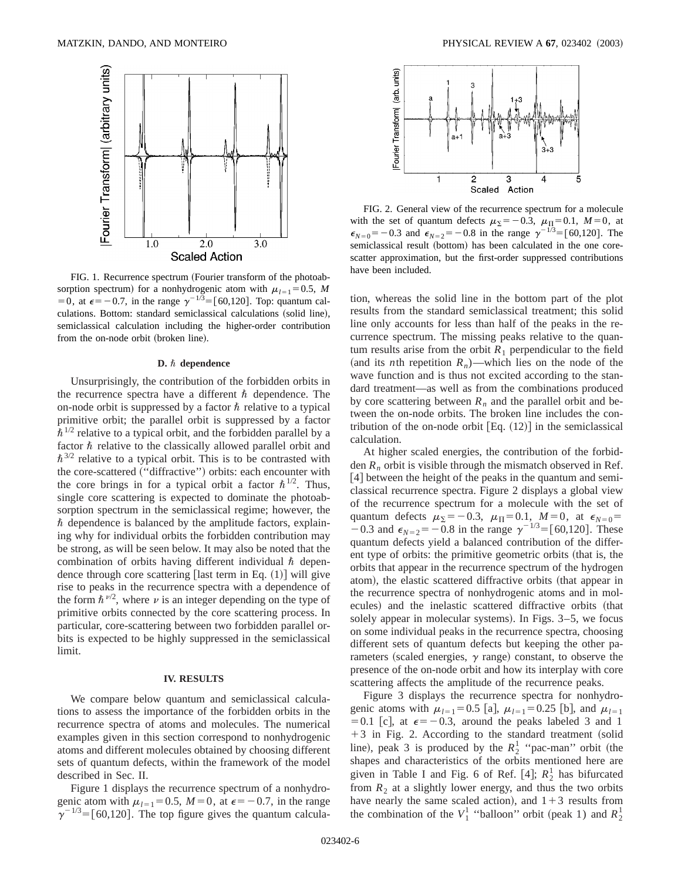

FIG. 1. Recurrence spectrum (Fourier transform of the photoabsorption spectrum) for a nonhydrogenic atom with  $\mu_{l=1} = 0.5$ , *M* =0, at  $\epsilon$ = -0.7, in the range  $\gamma^{-1/3}$ =[60,120]. Top: quantum calculations. Bottom: standard semiclassical calculations (solid line), semiclassical calculation including the higher-order contribution from the on-node orbit (broken line).

#### **D.**  $\hbar$  dependence

Unsurprisingly, the contribution of the forbidden orbits in the recurrence spectra have a different  $\hbar$  dependence. The on-node orbit is suppressed by a factor  $\hbar$  relative to a typical primitive orbit; the parallel orbit is suppressed by a factor  $\hbar^{1/2}$  relative to a typical orbit, and the forbidden parallel by a factor  $\hbar$  relative to the classically allowed parallel orbit and  $\hbar^{3/2}$  relative to a typical orbit. This is to be contrasted with the core-scattered ("diffractive") orbits: each encounter with the core brings in for a typical orbit a factor  $\hbar^{1/2}$ . Thus, single core scattering is expected to dominate the photoabsorption spectrum in the semiclassical regime; however, the  $\hbar$  dependence is balanced by the amplitude factors, explaining why for individual orbits the forbidden contribution may be strong, as will be seen below. It may also be noted that the combination of orbits having different individual  $\hbar$  dependence through core scattering [last term in Eq.  $(1)$ ] will give rise to peaks in the recurrence spectra with a dependence of the form  $\hbar^{\nu/2}$ , where  $\nu$  is an integer depending on the type of primitive orbits connected by the core scattering process. In particular, core-scattering between two forbidden parallel orbits is expected to be highly suppressed in the semiclassical limit.

### **IV. RESULTS**

We compare below quantum and semiclassical calculations to assess the importance of the forbidden orbits in the recurrence spectra of atoms and molecules. The numerical examples given in this section correspond to nonhydrogenic atoms and different molecules obtained by choosing different sets of quantum defects, within the framework of the model described in Sec. II.

Figure 1 displays the recurrence spectrum of a nonhydrogenic atom with  $\mu_{l=1}$ =0.5, *M* = 0, at  $\epsilon$ = -0.7, in the range  $\gamma^{-1/3}$ =[60,120]. The top figure gives the quantum calcula-



FIG. 2. General view of the recurrence spectrum for a molecule with the set of quantum defects  $\mu_{\Sigma} = -0.3$ ,  $\mu_{\Pi} = 0.1$ ,  $M = 0$ , at  $\epsilon_{N=0}$ = -0.3 and  $\epsilon_{N=2}$ = -0.8 in the range  $\gamma^{-1/3}$ = [60,120]. The semiclassical result (bottom) has been calculated in the one corescatter approximation, but the first-order suppressed contributions have been included.

tion, whereas the solid line in the bottom part of the plot results from the standard semiclassical treatment; this solid line only accounts for less than half of the peaks in the recurrence spectrum. The missing peaks relative to the quantum results arise from the orbit  $R_1$  perpendicular to the field (and its *n*th repetition  $R_n$ )—which lies on the node of the wave function and is thus not excited according to the standard treatment—as well as from the combinations produced by core scattering between  $R_n$  and the parallel orbit and between the on-node orbits. The broken line includes the contribution of the on-node orbit  $[Eq. (12)]$  in the semiclassical calculation.

At higher scaled energies, the contribution of the forbidden  $R_n$  orbit is visible through the mismatch observed in Ref. [4] between the height of the peaks in the quantum and semiclassical recurrence spectra. Figure 2 displays a global view of the recurrence spectrum for a molecule with the set of quantum defects  $\mu_{\Sigma} = -0.3$ ,  $\mu_{\Pi} = 0.1$ ,  $M = 0$ , at  $\epsilon_{N=0} =$  $-0.3$  and  $\epsilon_{N=2} = -0.8$  in the range  $\gamma^{-1/3} = [60,120]$ . These quantum defects yield a balanced contribution of the different type of orbits: the primitive geometric orbits (that is, the orbits that appear in the recurrence spectrum of the hydrogen atom), the elastic scattered diffractive orbits (that appear in the recurrence spectra of nonhydrogenic atoms and in molecules) and the inelastic scattered diffractive orbits (that solely appear in molecular systems). In Figs.  $3-5$ , we focus on some individual peaks in the recurrence spectra, choosing different sets of quantum defects but keeping the other parameters (scaled energies,  $\gamma$  range) constant, to observe the presence of the on-node orbit and how its interplay with core scattering affects the amplitude of the recurrence peaks.

Figure 3 displays the recurrence spectra for nonhydrogenic atoms with  $\mu_{l=1}$ =0.5 [a],  $\mu_{l=1}$ =0.25 [b], and  $\mu_{l=1}$ = 0.1 [c], at  $\epsilon$  = -0.3, around the peaks labeled 3 and 1  $+3$  in Fig. 2. According to the standard treatment (solid line), peak 3 is produced by the  $R_2^1$  "pac-man" orbit (the shapes and characteristics of the orbits mentioned here are given in Table I and Fig. 6 of Ref. [4];  $R_2^1$  has bifurcated from  $R_2$  at a slightly lower energy, and thus the two orbits have nearly the same scaled action), and  $1+3$  results from the combination of the  $V_1^1$  "balloon" orbit (peak 1) and  $R_2^1$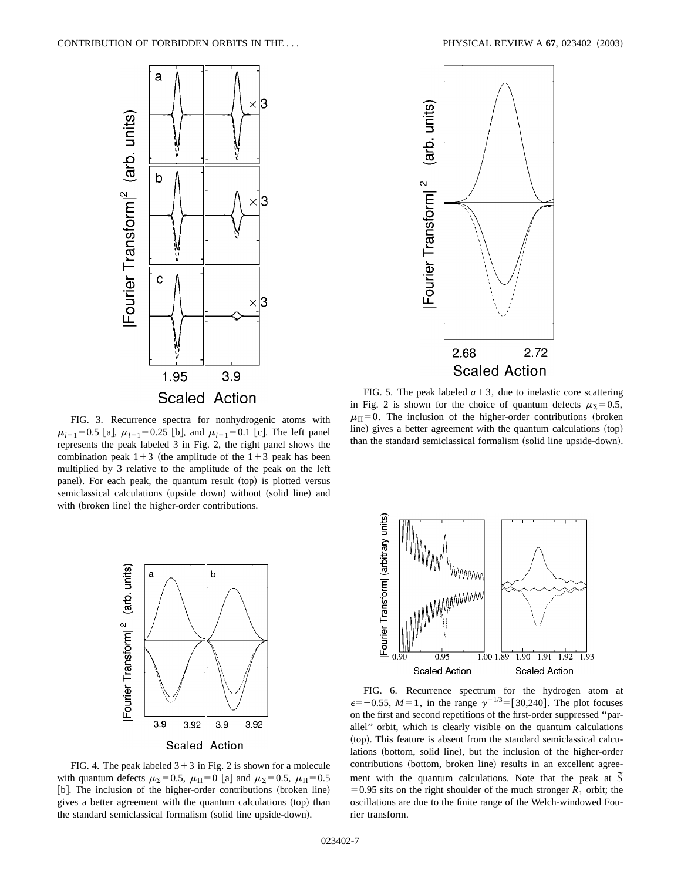

FIG. 3. Recurrence spectra for nonhydrogenic atoms with  $\mu_{l=1}$ =0.5 [a],  $\mu_{l=1}$ =0.25 [b], and  $\mu_{l=1}$ =0.1 [c]. The left panel represents the peak labeled 3 in Fig. 2, the right panel shows the combination peak  $1+3$  (the amplitude of the  $1+3$  peak has been multiplied by 3 relative to the amplitude of the peak on the left panel). For each peak, the quantum result (top) is plotted versus semiclassical calculations (upside down) without (solid line) and with (broken line) the higher-order contributions.



FIG. 4. The peak labeled  $3+3$  in Fig. 2 is shown for a molecule with quantum defects  $\mu_{\rm S}=0.5$ ,  $\mu_{\rm H}=0$  [a] and  $\mu_{\rm S}=0.5$ ,  $\mu_{\rm H}=0.5$ [b]. The inclusion of the higher-order contributions (broken line) gives a better agreement with the quantum calculations (top) than the standard semiclassical formalism (solid line upside-down).



FIG. 5. The peak labeled  $a+3$ , due to inelastic core scattering in Fig. 2 is shown for the choice of quantum defects  $\mu_{\Sigma} = 0.5$ ,  $\mu_{\Pi} = 0$ . The inclusion of the higher-order contributions (broken line) gives a better agreement with the quantum calculations (top) than the standard semiclassical formalism (solid line upside-down).



FIG. 6. Recurrence spectrum for the hydrogen atom at  $\epsilon = -0.55$ ,  $M = 1$ , in the range  $\gamma^{-1/3} = [30,240]$ . The plot focuses on the first and second repetitions of the first-order suppressed ''parallel'' orbit, which is clearly visible on the quantum calculations (top). This feature is absent from the standard semiclassical calculations (bottom, solid line), but the inclusion of the higher-order contributions (bottom, broken line) results in an excellent agreement with the quantum calculations. Note that the peak at  $\overline{S}$ = 0.95 sits on the right shoulder of the much stronger  $R_1$  orbit; the oscillations are due to the finite range of the Welch-windowed Fourier transform.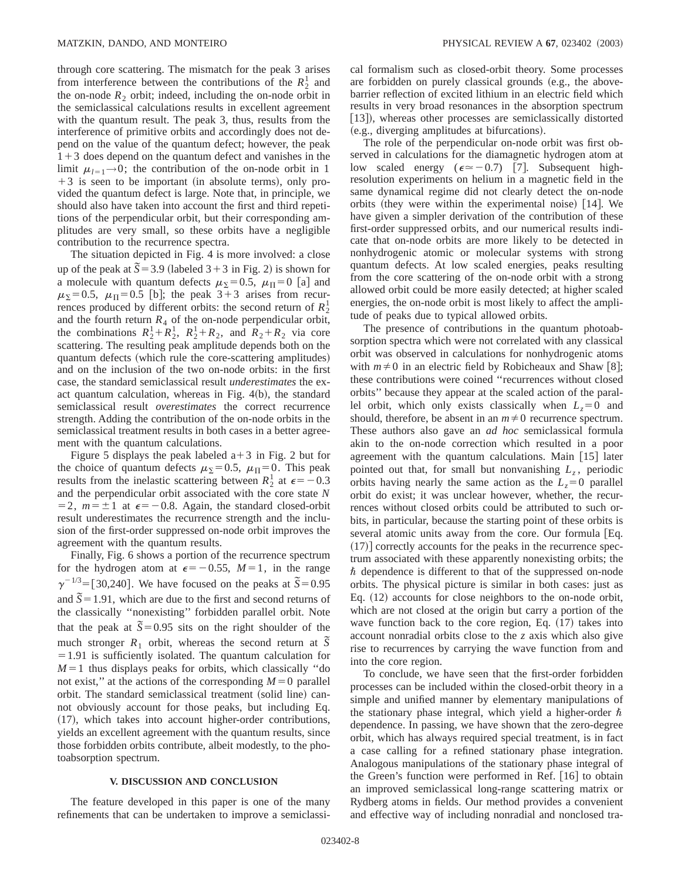through core scattering. The mismatch for the peak 3 arises from interference between the contributions of the  $R_2^1$  and the on-node  $R_2$  orbit; indeed, including the on-node orbit in the semiclassical calculations results in excellent agreement with the quantum result. The peak 3, thus, results from the interference of primitive orbits and accordingly does not depend on the value of the quantum defect; however, the peak  $1+3$  does depend on the quantum defect and vanishes in the limit  $\mu_{l=1}\rightarrow 0$ ; the contribution of the on-node orbit in 1  $+3$  is seen to be important (in absolute terms), only provided the quantum defect is large. Note that, in principle, we should also have taken into account the first and third repetitions of the perpendicular orbit, but their corresponding amplitudes are very small, so these orbits have a negligible contribution to the recurrence spectra.

The situation depicted in Fig. 4 is more involved: a close up of the peak at  $\overline{S}$  = 3.9 (labeled 3 + 3 in Fig. 2) is shown for a molecule with quantum defects  $\mu_{\Sigma} = 0.5$ ,  $\mu_{\Pi} = 0$  [a] and  $\mu_{\Sigma}$ =0.5,  $\mu_{\Pi}$ =0.5 [b]; the peak 3+3 arises from recurrences produced by different orbits: the second return of  $R_2^1$ and the fourth return  $R_4$  of the on-node perpendicular orbit, the combinations  $R_2^1 + R_2^1$ ,  $R_2^1 + R_2$ , and  $R_2^1 + R_2$  via core scattering. The resulting peak amplitude depends both on the quantum defects (which rule the core-scattering amplitudes) and on the inclusion of the two on-node orbits: in the first case, the standard semiclassical result *underestimates* the exact quantum calculation, whereas in Fig.  $4(b)$ , the standard semiclassical result *overestimates* the correct recurrence strength. Adding the contribution of the on-node orbits in the semiclassical treatment results in both cases in a better agreement with the quantum calculations.

Figure 5 displays the peak labeled  $a+3$  in Fig. 2 but for the choice of quantum defects  $\mu_{\Sigma} = 0.5$ ,  $\mu_{\Pi} = 0$ . This peak results from the inelastic scattering between  $R_2^1$  at  $\epsilon = -0.3$ and the perpendicular orbit associated with the core state *N*  $=2$ ,  $m=\pm 1$  at  $\epsilon=-0.8$ . Again, the standard closed-orbit result underestimates the recurrence strength and the inclusion of the first-order suppressed on-node orbit improves the agreement with the quantum results.

Finally, Fig. 6 shows a portion of the recurrence spectrum for the hydrogen atom at  $\epsilon = -0.55$ ,  $M=1$ , in the range  $\gamma^{-1/3}$ =[30,240]. We have focused on the peaks at  $\tilde{S}$ =0.95 and  $\tilde{S} = 1.91$ , which are due to the first and second returns of the classically ''nonexisting'' forbidden parallel orbit. Note that the peak at  $\bar{S}$  = 0.95 sits on the right shoulder of the much stronger  $R_1$  orbit, whereas the second return at  $\tilde{S}$  $=1.91$  is sufficiently isolated. The quantum calculation for  $M=1$  thus displays peaks for orbits, which classically "do not exist," at the actions of the corresponding  $M=0$  parallel orbit. The standard semiclassical treatment (solid line) cannot obviously account for those peaks, but including Eq.  $(17)$ , which takes into account higher-order contributions, yields an excellent agreement with the quantum results, since those forbidden orbits contribute, albeit modestly, to the photoabsorption spectrum.

#### **V. DISCUSSION AND CONCLUSION**

The feature developed in this paper is one of the many refinements that can be undertaken to improve a semiclassical formalism such as closed-orbit theory. Some processes are forbidden on purely classical grounds (e.g., the abovebarrier reflection of excited lithium in an electric field which results in very broad resonances in the absorption spectrum [13]), whereas other processes are semiclassically distorted  $(e.g., diverging amplitudes at bifurcations).$ 

The role of the perpendicular on-node orbit was first observed in calculations for the diamagnetic hydrogen atom at low scaled energy ( $\epsilon \approx -0.7$ ) [7]. Subsequent highresolution experiments on helium in a magnetic field in the same dynamical regime did not clearly detect the on-node orbits (they were within the experimental noise)  $[14]$ . We have given a simpler derivation of the contribution of these first-order suppressed orbits, and our numerical results indicate that on-node orbits are more likely to be detected in nonhydrogenic atomic or molecular systems with strong quantum defects. At low scaled energies, peaks resulting from the core scattering of the on-node orbit with a strong allowed orbit could be more easily detected; at higher scaled energies, the on-node orbit is most likely to affect the amplitude of peaks due to typical allowed orbits.

The presence of contributions in the quantum photoabsorption spectra which were not correlated with any classical orbit was observed in calculations for nonhydrogenic atoms with  $m \neq 0$  in an electric field by Robicheaux and Shaw [8]; these contributions were coined ''recurrences without closed orbits'' because they appear at the scaled action of the parallel orbit, which only exists classically when  $L_z=0$  and should, therefore, be absent in an  $m \neq 0$  recurrence spectrum. These authors also gave an *ad hoc* semiclassical formula akin to the on-node correction which resulted in a poor agreement with the quantum calculations. Main  $\lceil 15 \rceil$  later pointed out that, for small but nonvanishing  $L_z$ , periodic orbits having nearly the same action as the  $L<sub>z</sub>=0$  parallel orbit do exist; it was unclear however, whether, the recurrences without closed orbits could be attributed to such orbits, in particular, because the starting point of these orbits is several atomic units away from the core. Our formula  $Eq.$  $(17)$  correctly accounts for the peaks in the recurrence spectrum associated with these apparently nonexisting orbits; the  $\hbar$  dependence is different to that of the suppressed on-node orbits. The physical picture is similar in both cases: just as Eq.  $(12)$  accounts for close neighbors to the on-node orbit, which are not closed at the origin but carry a portion of the wave function back to the core region, Eq.  $(17)$  takes into account nonradial orbits close to the *z* axis which also give rise to recurrences by carrying the wave function from and into the core region.

To conclude, we have seen that the first-order forbidden processes can be included within the closed-orbit theory in a simple and unified manner by elementary manipulations of the stationary phase integral, which yield a higher-order  $\hbar$ dependence. In passing, we have shown that the zero-degree orbit, which has always required special treatment, is in fact a case calling for a refined stationary phase integration. Analogous manipulations of the stationary phase integral of the Green's function were performed in Ref.  $[16]$  to obtain an improved semiclassical long-range scattering matrix or Rydberg atoms in fields. Our method provides a convenient and effective way of including nonradial and nonclosed tra